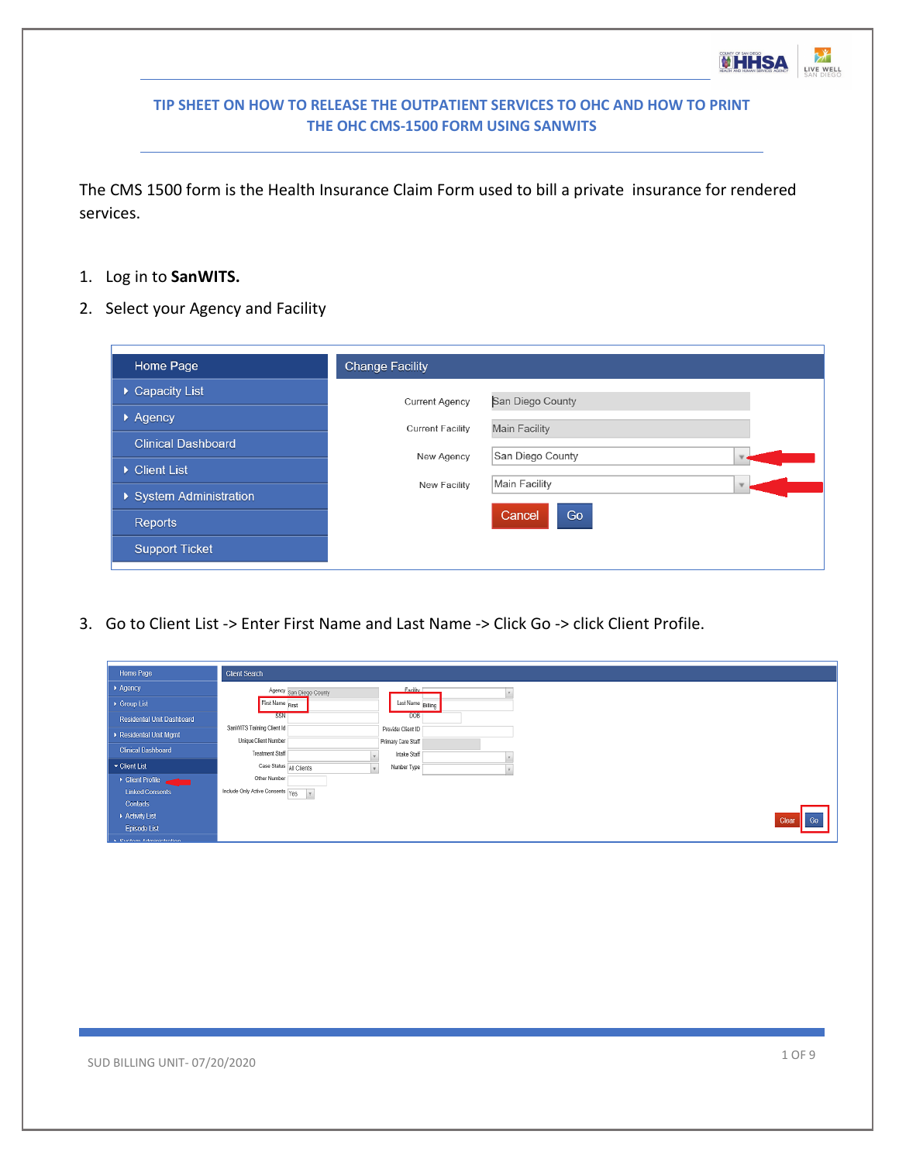The CMS 1500 form is the Health Insurance Claim Form used to bill a private insurance for rendered services.

- 1. Log in to **SanWITS.**
- 2. Select your Agency and Facility

| Home Page                 | <b>Change Facility</b>  |                      |
|---------------------------|-------------------------|----------------------|
| ▶ Capacity List           | <b>Current Agency</b>   | San Diego County     |
| $\triangleright$ Agency   | <b>Current Facility</b> | <b>Main Facility</b> |
| <b>Clinical Dashboard</b> | New Agency              | San Diego County     |
| Client List               |                         |                      |
| ▶ System Administration   | New Facility            | Main Facility        |
| <b>Reports</b>            |                         | Go<br>Cancel         |
| <b>Support Ticket</b>     |                         |                      |
|                           |                         |                      |

3. Go to Client List -> Enter First Name and Last Name -> Click Go -> click Client Profile.

| Home Page                                 | Client Search                                                    |                                    |  |
|-------------------------------------------|------------------------------------------------------------------|------------------------------------|--|
| $\mapsto$ Agency                          | Agency San Diego County                                          | Facility I                         |  |
| → Group List                              | First Name First                                                 | Last Name Biling                   |  |
| Residential Unit Dashboard                | <b>SSN</b>                                                       | DOB                                |  |
| Residential Unit Mgmt                     | SanWITS Training Client Id<br><b>Unique Client Number</b>        | Provider Client ID                 |  |
| <b>Clinical Dashboard</b>                 | <b>Treatment Staff</b>                                           | Primary Care Staff<br>Intake Staff |  |
| ▼ Client List                             | Case Status All Clients                                          | Number Type                        |  |
| > Client Profile                          | Other Number                                                     |                                    |  |
| <b>Linked Consents</b>                    | Include Only Active Consents $\frac{1}{10}$ Yes $\frac{1}{10}$ v |                                    |  |
| Contacts                                  |                                                                  |                                    |  |
| Activity List                             |                                                                  |                                    |  |
| Episode List<br>a. Custom Administration. |                                                                  |                                    |  |

**WHHSA** 

LIVE WELL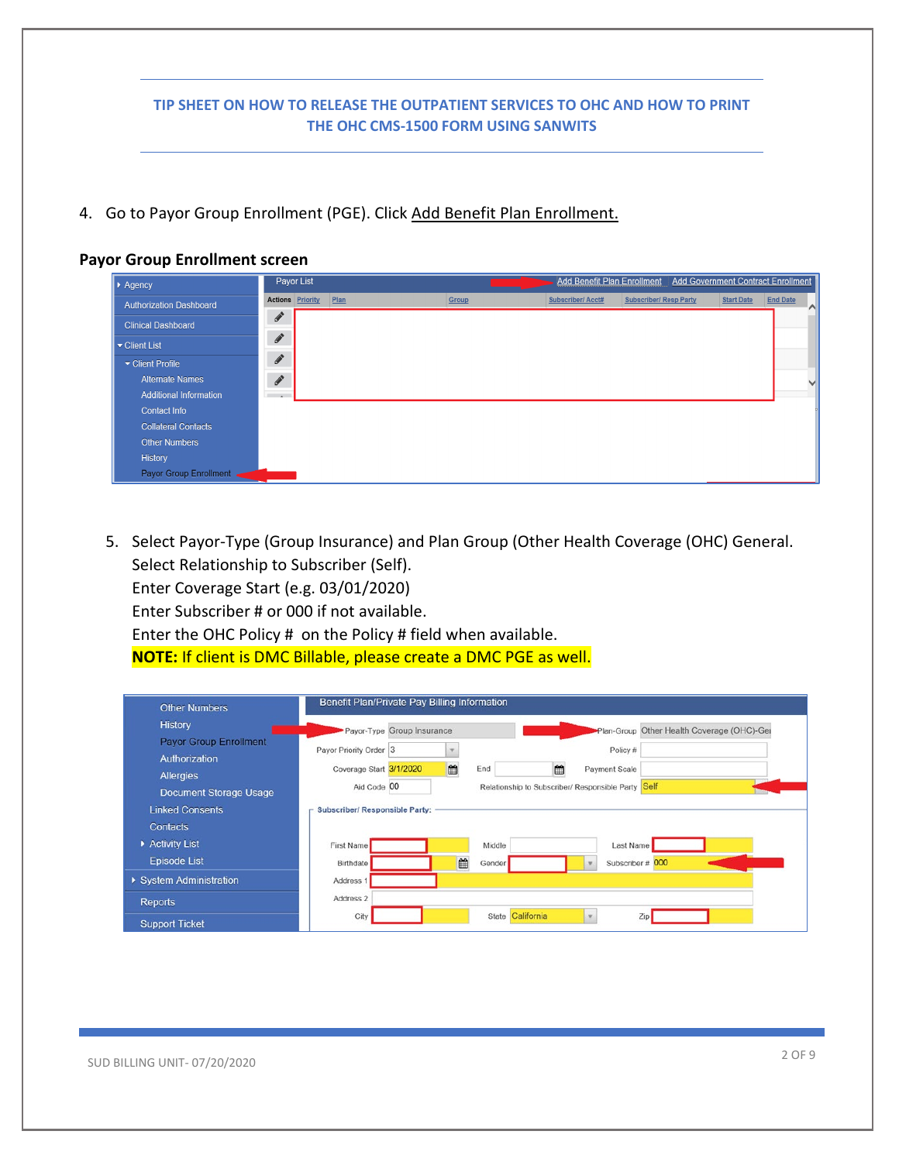4. Go to Payor Group Enrollment (PGE). Click Add Benefit Plan Enrollment.

#### **Payor Group Enrollment screen**



5. Select Payor-Type (Group Insurance) and Plan Group (Other Health Coverage (OHC) General. Select Relationship to Subscriber (Self). Enter Coverage Start (e.g. 03/01/2020)

Enter Subscriber # or 000 if not available.

Enter the OHC Policy # on the Policy # field when available. **NOTE:** If client is DMC Billable, please create a DMC PGE as well.

| <b>Other Numbers</b>          | Benefit Plan/Private Pay Billing Information |   |                  |   |                                               |                                            |
|-------------------------------|----------------------------------------------|---|------------------|---|-----------------------------------------------|--------------------------------------------|
| History                       | Payor-Type Group Insurance                   |   |                  |   |                                               | Plan-Group Other Health Coverage (OHC)-Ger |
| <b>Payor Group Enrollment</b> | Payor Priority Order 3                       |   |                  |   | Policy #                                      |                                            |
| Authorization                 |                                              |   |                  |   |                                               |                                            |
| <b>Allergies</b>              | Coverage Start 3/1/2020                      | m | End              | m | Payment Scale                                 |                                            |
| <b>Document Storage Usage</b> | Aid Code 00                                  |   |                  |   | Relationship to Subscriber/ Responsible Party | Self                                       |
| <b>Linked Consents</b>        | <b>Subscriber/ Responsible Party:</b>        |   |                  |   |                                               |                                            |
| <b>Contacts</b>               |                                              |   |                  |   |                                               |                                            |
| Activity List                 | First Name                                   |   | Middle           |   | Last Name                                     |                                            |
| <b>Episode List</b>           | Birthdate                                    | ■ | Gender           |   | Subscriber # 000                              |                                            |
| ▶ System Administration       | Address 1                                    |   |                  |   |                                               |                                            |
| Reports                       | Address 2                                    |   |                  |   |                                               |                                            |
| <b>Support Ticket</b>         | City                                         |   | State California |   | $\mathcal{L}$                                 | Zip                                        |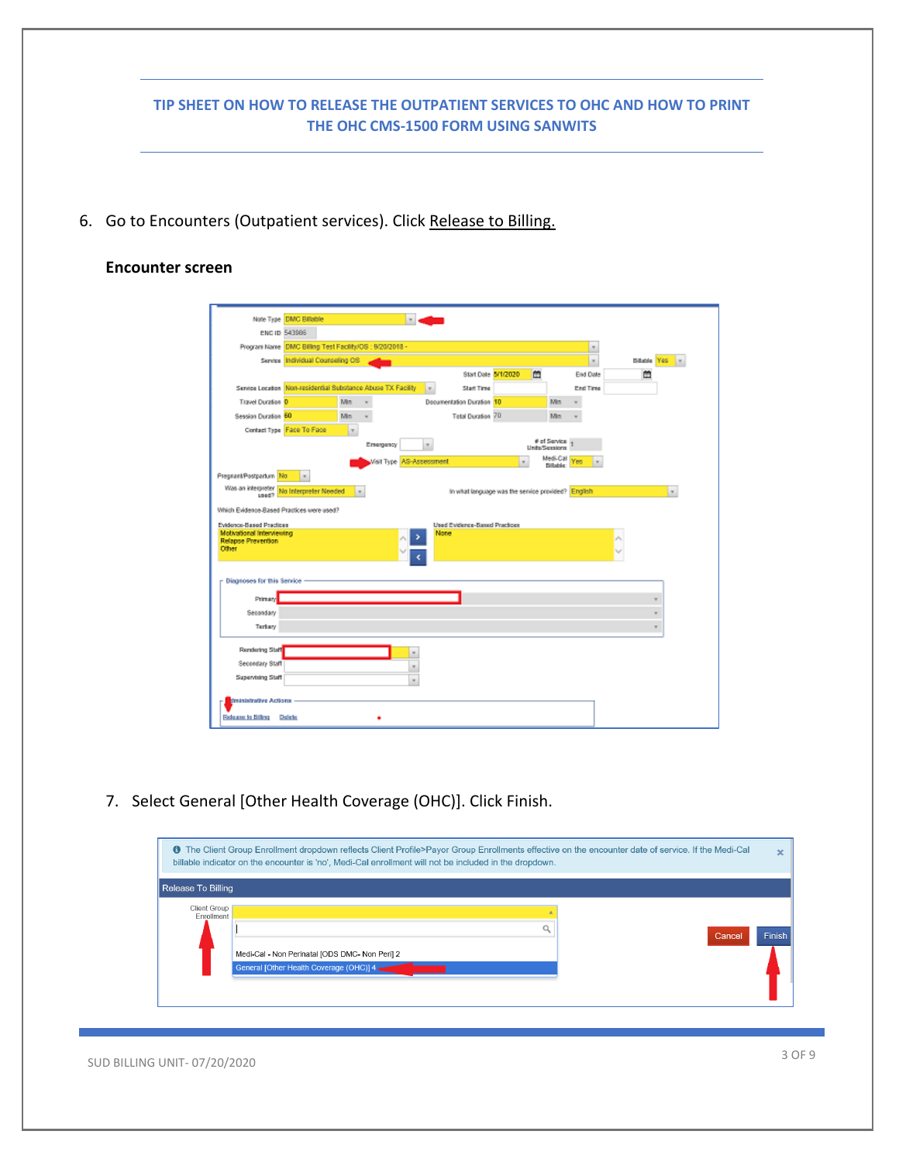| <b>Latin</b><br>Note Type DMC Billable<br>ENG ID 543986<br>Program Name DMC Billing Test Facility/0S : 9/20/2018 -<br>Service Individual Counseling OS<br>Billable Yes v<br>×<br>曲<br>Start Date 5/1/2020<br>End Date<br>జ<br>Service Location Non-residential Substance Abuse TX Facility<br>Start Time<br>Iv.<br>End Time<br>Decumentation Duration 10<br>Travel Duration 0<br>Mn.<br>Min<br>$\sim$<br>٠<br>Tetal Duration 70<br>Session Duration 60<br><b>Min</b><br>Min.<br>Contact Type Face To Face<br>×.<br># of Service  <br>Emergency<br>v.<br>Units/Sessions<br>Medi-Call<br>Visit Type <mark>AS-Assessment</mark><br>Yes<br>٠<br>$\tau$<br>Bilable:<br>Pregnant/Postpartum No<br>$\sim$<br>Was an interpreter No Interpreter Needed<br>In what language was the service provided? English<br>×<br>$\sim$<br>Load?<br>Which Evidence-Based Practices were used?<br>Evidence-Based Practices<br>Used Evidence-Based Practices<br>Motivational Interviewing<br>None<br>Relapse Prevention<br>Other<br><b>Diagnoses for this Service</b><br>Primary<br>Secondary<br>Tertary<br>Rendering Staff<br>×<br>Secondary Staff<br>$\pi$<br>Supervising Staff<br>$\sim$<br><b>Iministrative Actions</b><br>Release to Billing Delete |                       | 7. Select General [Other Health Coverage (OHC)]. Click Finish.<br>The Client Group Enrollment dropdown reflects Client Profile>Payor Group Enrollments effective on the encounter date of service. If the Medi-Cal |
|------------------------------------------------------------------------------------------------------------------------------------------------------------------------------------------------------------------------------------------------------------------------------------------------------------------------------------------------------------------------------------------------------------------------------------------------------------------------------------------------------------------------------------------------------------------------------------------------------------------------------------------------------------------------------------------------------------------------------------------------------------------------------------------------------------------------------------------------------------------------------------------------------------------------------------------------------------------------------------------------------------------------------------------------------------------------------------------------------------------------------------------------------------------------------------------------------------------------------------|-----------------------|--------------------------------------------------------------------------------------------------------------------------------------------------------------------------------------------------------------------|
|                                                                                                                                                                                                                                                                                                                                                                                                                                                                                                                                                                                                                                                                                                                                                                                                                                                                                                                                                                                                                                                                                                                                                                                                                                    |                       |                                                                                                                                                                                                                    |
|                                                                                                                                                                                                                                                                                                                                                                                                                                                                                                                                                                                                                                                                                                                                                                                                                                                                                                                                                                                                                                                                                                                                                                                                                                    |                       |                                                                                                                                                                                                                    |
|                                                                                                                                                                                                                                                                                                                                                                                                                                                                                                                                                                                                                                                                                                                                                                                                                                                                                                                                                                                                                                                                                                                                                                                                                                    |                       |                                                                                                                                                                                                                    |
|                                                                                                                                                                                                                                                                                                                                                                                                                                                                                                                                                                                                                                                                                                                                                                                                                                                                                                                                                                                                                                                                                                                                                                                                                                    |                       |                                                                                                                                                                                                                    |
|                                                                                                                                                                                                                                                                                                                                                                                                                                                                                                                                                                                                                                                                                                                                                                                                                                                                                                                                                                                                                                                                                                                                                                                                                                    |                       |                                                                                                                                                                                                                    |
|                                                                                                                                                                                                                                                                                                                                                                                                                                                                                                                                                                                                                                                                                                                                                                                                                                                                                                                                                                                                                                                                                                                                                                                                                                    |                       |                                                                                                                                                                                                                    |
|                                                                                                                                                                                                                                                                                                                                                                                                                                                                                                                                                                                                                                                                                                                                                                                                                                                                                                                                                                                                                                                                                                                                                                                                                                    |                       |                                                                                                                                                                                                                    |
|                                                                                                                                                                                                                                                                                                                                                                                                                                                                                                                                                                                                                                                                                                                                                                                                                                                                                                                                                                                                                                                                                                                                                                                                                                    |                       |                                                                                                                                                                                                                    |
|                                                                                                                                                                                                                                                                                                                                                                                                                                                                                                                                                                                                                                                                                                                                                                                                                                                                                                                                                                                                                                                                                                                                                                                                                                    |                       |                                                                                                                                                                                                                    |
|                                                                                                                                                                                                                                                                                                                                                                                                                                                                                                                                                                                                                                                                                                                                                                                                                                                                                                                                                                                                                                                                                                                                                                                                                                    |                       |                                                                                                                                                                                                                    |
|                                                                                                                                                                                                                                                                                                                                                                                                                                                                                                                                                                                                                                                                                                                                                                                                                                                                                                                                                                                                                                                                                                                                                                                                                                    |                       |                                                                                                                                                                                                                    |
|                                                                                                                                                                                                                                                                                                                                                                                                                                                                                                                                                                                                                                                                                                                                                                                                                                                                                                                                                                                                                                                                                                                                                                                                                                    |                       |                                                                                                                                                                                                                    |
|                                                                                                                                                                                                                                                                                                                                                                                                                                                                                                                                                                                                                                                                                                                                                                                                                                                                                                                                                                                                                                                                                                                                                                                                                                    |                       |                                                                                                                                                                                                                    |
|                                                                                                                                                                                                                                                                                                                                                                                                                                                                                                                                                                                                                                                                                                                                                                                                                                                                                                                                                                                                                                                                                                                                                                                                                                    |                       |                                                                                                                                                                                                                    |
|                                                                                                                                                                                                                                                                                                                                                                                                                                                                                                                                                                                                                                                                                                                                                                                                                                                                                                                                                                                                                                                                                                                                                                                                                                    |                       |                                                                                                                                                                                                                    |
|                                                                                                                                                                                                                                                                                                                                                                                                                                                                                                                                                                                                                                                                                                                                                                                                                                                                                                                                                                                                                                                                                                                                                                                                                                    |                       |                                                                                                                                                                                                                    |
|                                                                                                                                                                                                                                                                                                                                                                                                                                                                                                                                                                                                                                                                                                                                                                                                                                                                                                                                                                                                                                                                                                                                                                                                                                    |                       |                                                                                                                                                                                                                    |
|                                                                                                                                                                                                                                                                                                                                                                                                                                                                                                                                                                                                                                                                                                                                                                                                                                                                                                                                                                                                                                                                                                                                                                                                                                    |                       |                                                                                                                                                                                                                    |
|                                                                                                                                                                                                                                                                                                                                                                                                                                                                                                                                                                                                                                                                                                                                                                                                                                                                                                                                                                                                                                                                                                                                                                                                                                    |                       |                                                                                                                                                                                                                    |
|                                                                                                                                                                                                                                                                                                                                                                                                                                                                                                                                                                                                                                                                                                                                                                                                                                                                                                                                                                                                                                                                                                                                                                                                                                    |                       |                                                                                                                                                                                                                    |
|                                                                                                                                                                                                                                                                                                                                                                                                                                                                                                                                                                                                                                                                                                                                                                                                                                                                                                                                                                                                                                                                                                                                                                                                                                    |                       |                                                                                                                                                                                                                    |
|                                                                                                                                                                                                                                                                                                                                                                                                                                                                                                                                                                                                                                                                                                                                                                                                                                                                                                                                                                                                                                                                                                                                                                                                                                    |                       |                                                                                                                                                                                                                    |
|                                                                                                                                                                                                                                                                                                                                                                                                                                                                                                                                                                                                                                                                                                                                                                                                                                                                                                                                                                                                                                                                                                                                                                                                                                    |                       |                                                                                                                                                                                                                    |
|                                                                                                                                                                                                                                                                                                                                                                                                                                                                                                                                                                                                                                                                                                                                                                                                                                                                                                                                                                                                                                                                                                                                                                                                                                    | $\boldsymbol{\times}$ |                                                                                                                                                                                                                    |
| billable indicator on the encounter is 'no', Medi-Cal enrollment will not be included in the dropdown.                                                                                                                                                                                                                                                                                                                                                                                                                                                                                                                                                                                                                                                                                                                                                                                                                                                                                                                                                                                                                                                                                                                             |                       | Release To Billing                                                                                                                                                                                                 |
|                                                                                                                                                                                                                                                                                                                                                                                                                                                                                                                                                                                                                                                                                                                                                                                                                                                                                                                                                                                                                                                                                                                                                                                                                                    |                       | Client Group<br>Enrollment                                                                                                                                                                                         |
|                                                                                                                                                                                                                                                                                                                                                                                                                                                                                                                                                                                                                                                                                                                                                                                                                                                                                                                                                                                                                                                                                                                                                                                                                                    |                       |                                                                                                                                                                                                                    |

SUD BILLING UNIT-07/20/2020 3 OF 9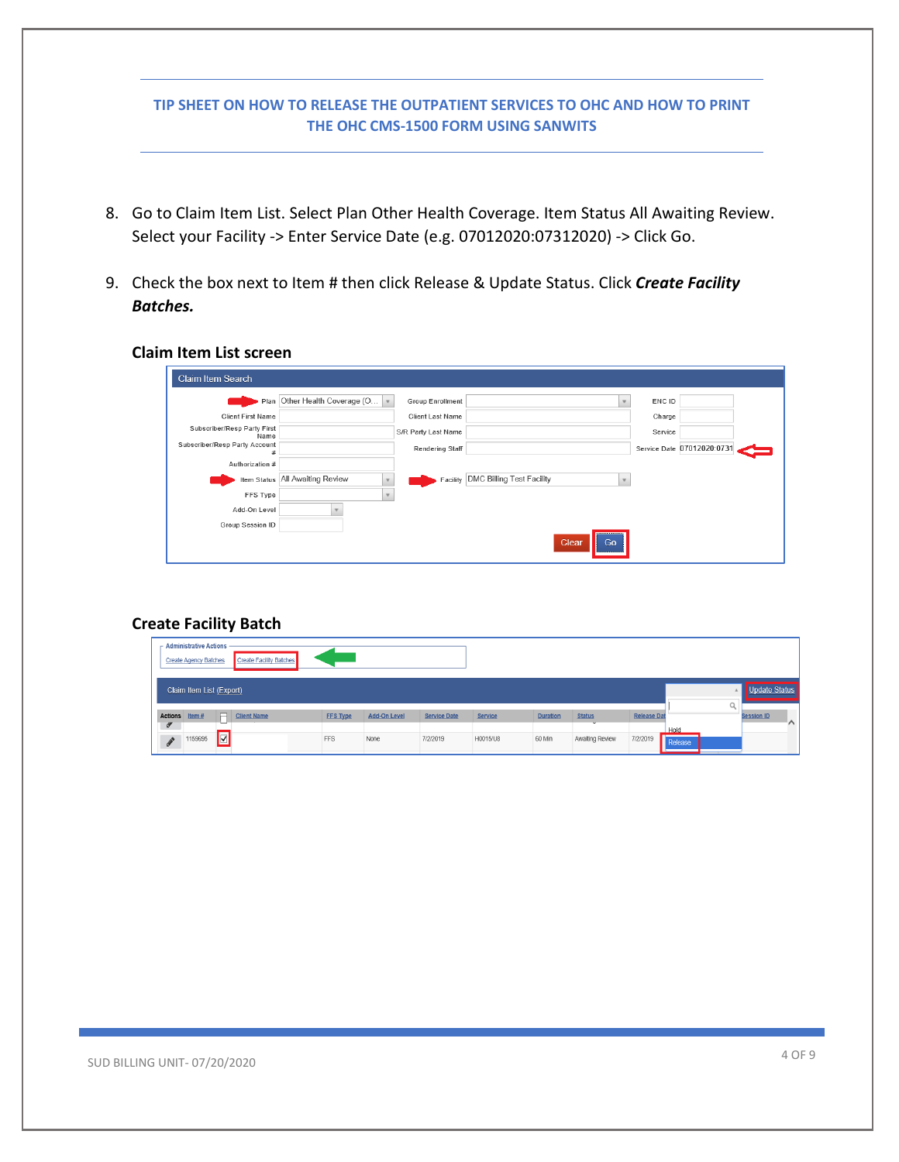- 8. Go to Claim Item List. Select Plan Other Health Coverage. Item Status All Awaiting Review. Select your Facility -> Enter Service Date (e.g. 07012020:07312020) -> Click Go.
- 9. Check the box next to Item # then click Release & Update Status. Click *Create Facility Batches.*

# **Claim Item List screen**

| <b>Claim Item Search</b>            |                                   |                        |                                  |    |         |                            |  |
|-------------------------------------|-----------------------------------|------------------------|----------------------------------|----|---------|----------------------------|--|
|                                     | Plan Other Health Coverage (O   v | Group Enrollment       |                                  |    | ENC ID  |                            |  |
| <b>Client First Name</b>            |                                   | Client Last Name       |                                  |    | Charge  |                            |  |
| Subscriber/Resp Party First<br>Name |                                   | S/R Party Last Name    |                                  |    | Service |                            |  |
| Subscriber/Resp Party Account       |                                   | <b>Rendering Staff</b> |                                  |    |         | Service Date 07012020:0731 |  |
| Authorization #                     |                                   |                        |                                  |    |         |                            |  |
|                                     | Item Status   All Awaiting Review | Facility               | <b>DMC Billing Test Facility</b> |    |         |                            |  |
| FFS Type                            | $\overline{\phantom{a}}$          |                        |                                  |    |         |                            |  |
| Add-On Level                        |                                   |                        |                                  |    |         |                            |  |
| Group Session ID                    |                                   |                        |                                  |    |         |                            |  |
|                                     |                                   |                        | Clear                            | Go |         |                            |  |

# **Create Facility Batch**

|                                        | <b>Administrative Actions</b><br><b>Create Agency Batches</b> |   | <b>Create Facility Batches</b> |                 |                     |                     |                |                 |                 |                    |                 |                               |
|----------------------------------------|---------------------------------------------------------------|---|--------------------------------|-----------------|---------------------|---------------------|----------------|-----------------|-----------------|--------------------|-----------------|-------------------------------|
|                                        | Claim Item List (Export)                                      |   |                                |                 |                     |                     |                |                 |                 |                    |                 | Update Status                 |
| Actions Item #                         |                                                               | ⊟ | <b>Client Name</b>             | <b>FFS Type</b> | <b>Add-On Level</b> | <b>Service Date</b> | <b>Service</b> | <b>Duration</b> | <b>Status</b>   | <b>Release Dat</b> |                 | <b>Session ID</b><br>$\wedge$ |
| $\sigma$<br>$\boldsymbol{\mathscr{E}}$ | 1159695                                                       | ⊽ |                                | <b>FFS</b>      | None                | 7/2/2019            | H0015/U8       | 60 Min          | Awaiting Review | 7/2/2019           | Hold<br>Release |                               |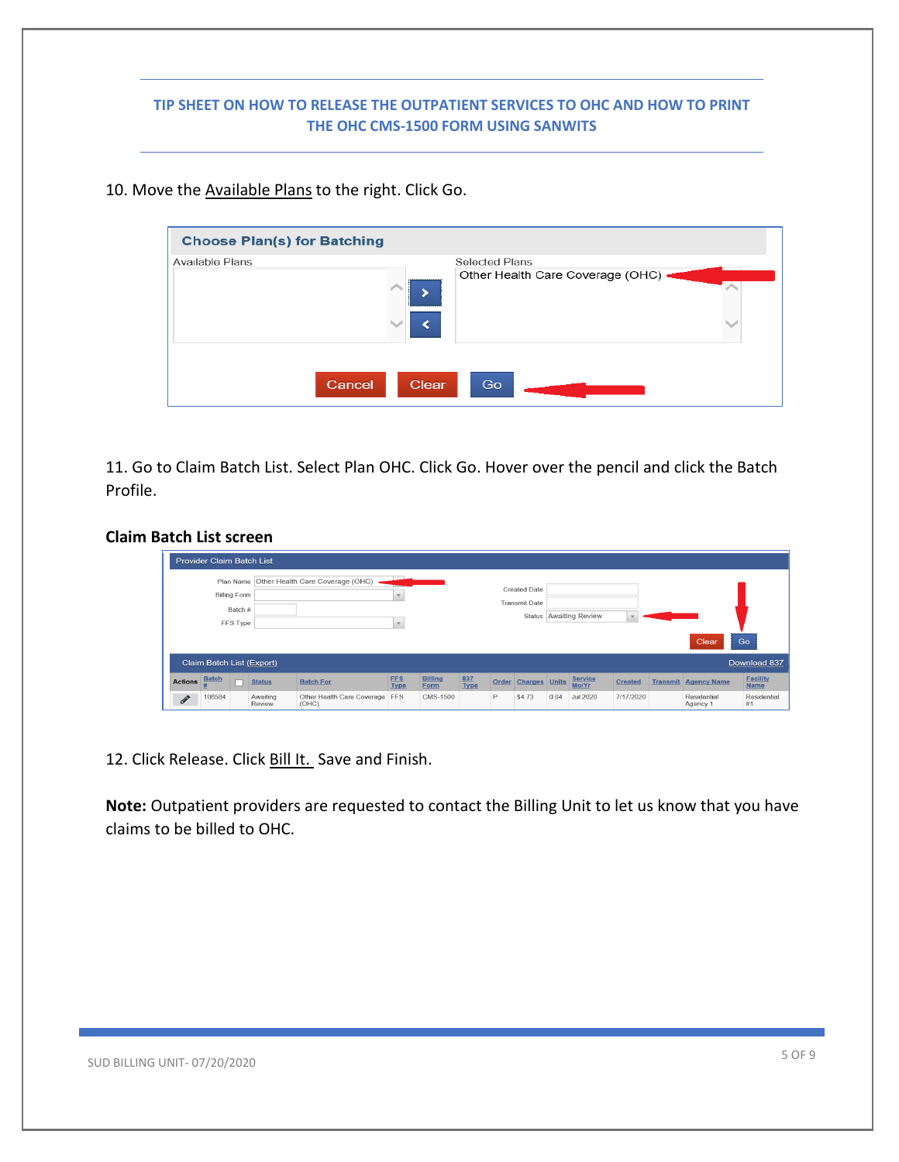#### 10. Move the Available Plans to the right. Click Go.

| <b>Choose Plan(s) for Batching</b> |                                        |
|------------------------------------|----------------------------------------|
| <b>Available Plans</b>             | <b>Selected Plans</b>                  |
|                                    | Other Health Care Coverage (OHC) .<br> |
| Cancel                             | <b>Clear</b><br>Go                     |

11. Go to Claim Batch List. Select Plan OHC. Click Go. Hover over the pencil and click the Batch Profile.

# **Claim Batch List screen**

|                | <b>Provider Claim Batch List</b> |                     |                    |                                            |                           |                        |             |       |                                             |      |                         |                |                             |                                |
|----------------|----------------------------------|---------------------|--------------------|--------------------------------------------|---------------------------|------------------------|-------------|-------|---------------------------------------------|------|-------------------------|----------------|-----------------------------|--------------------------------|
|                | <b>Billing Form</b>              | Batch #<br>FFS Type |                    | Plan Name Other Health Care Coverage (OHC) | $\sim$<br>$\mathbf{v}$    |                        |             |       | <b>Created Date</b><br><b>Transmit Date</b> |      | Status Awaiting Review  |                | Clear                       | Go                             |
|                | Claim Batch List (Export)        |                     |                    |                                            |                           |                        |             |       |                                             |      |                         |                |                             | Download 837                   |
| <b>Actions</b> | <b>Batch</b>                     |                     | <b>Status</b>      | <b>Batch For</b>                           | <b>FFS</b><br><b>Type</b> | <b>Billing</b><br>Form | 837<br>Type | Order | <b>Charges</b> Units                        |      | <b>Service</b><br>Mo/Yr | <b>Created</b> | <b>Transmit Agency Name</b> | <b>Facility</b><br><b>Name</b> |
| $\mathscr{F}$  | 106584                           |                     | Awaiting<br>Review | Other Health Care Coverage FFS<br>(OHC)    |                           | CMS-1500               |             | P     | \$4.73                                      | 0.04 | <b>Jul 2020</b>         | 7/17/2020      | Residential<br>Agency 1     | Residential<br>#1              |

12. Click Release. Click Bill It. Save and Finish.

**Note:** Outpatient providers are requested to contact the Billing Unit to let us know that you have claims to be billed to OHC.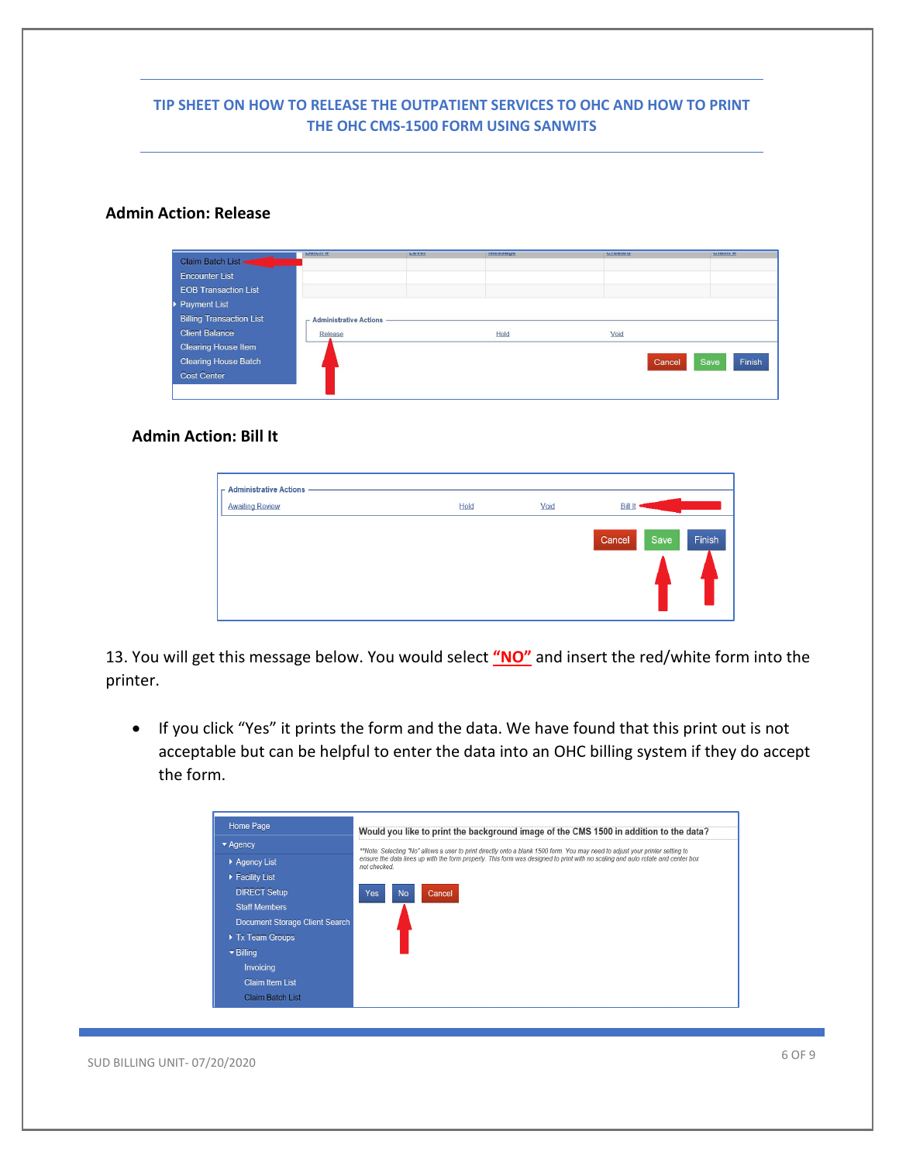#### **Admin Action: Release**

| Claim Batch List .              | $u$ atun $\pi$                | LUVUI | позавис | <b>UIGOLOU</b> | $V$ <b>RIBITION</b> |
|---------------------------------|-------------------------------|-------|---------|----------------|---------------------|
| <b>Encounter List</b>           |                               |       |         |                |                     |
| <b>EOB Transaction List</b>     |                               |       |         |                |                     |
| <b>Payment List</b>             |                               |       |         |                |                     |
| <b>Billing Transaction List</b> | <b>Administrative Actions</b> |       |         |                |                     |
| <b>Client Balance</b>           | Release                       |       | Hold    | Void           |                     |
| <b>Clearing House Item</b>      |                               |       |         |                |                     |
| <b>Clearing House Batch</b>     |                               |       |         | Cancel         | Finish<br>Save      |
| <b>Cost Center</b>              |                               |       |         |                |                     |
|                                 |                               |       |         |                |                     |

# **Admin Action: Bill It**

| $\Gamma$ Administrative Actions<br><b>Awaiting Review</b> | Hold | Void | <b>Bill It</b>           |
|-----------------------------------------------------------|------|------|--------------------------|
|                                                           |      |      | Finish<br>Cancel<br>Save |

13. You will get this message below. You would select **"NO"** and insert the red/white form into the printer.

• If you click "Yes" it prints the form and the data. We have found that this print out is not acceptable but can be helpful to enter the data into an OHC billing system if they do accept the form.

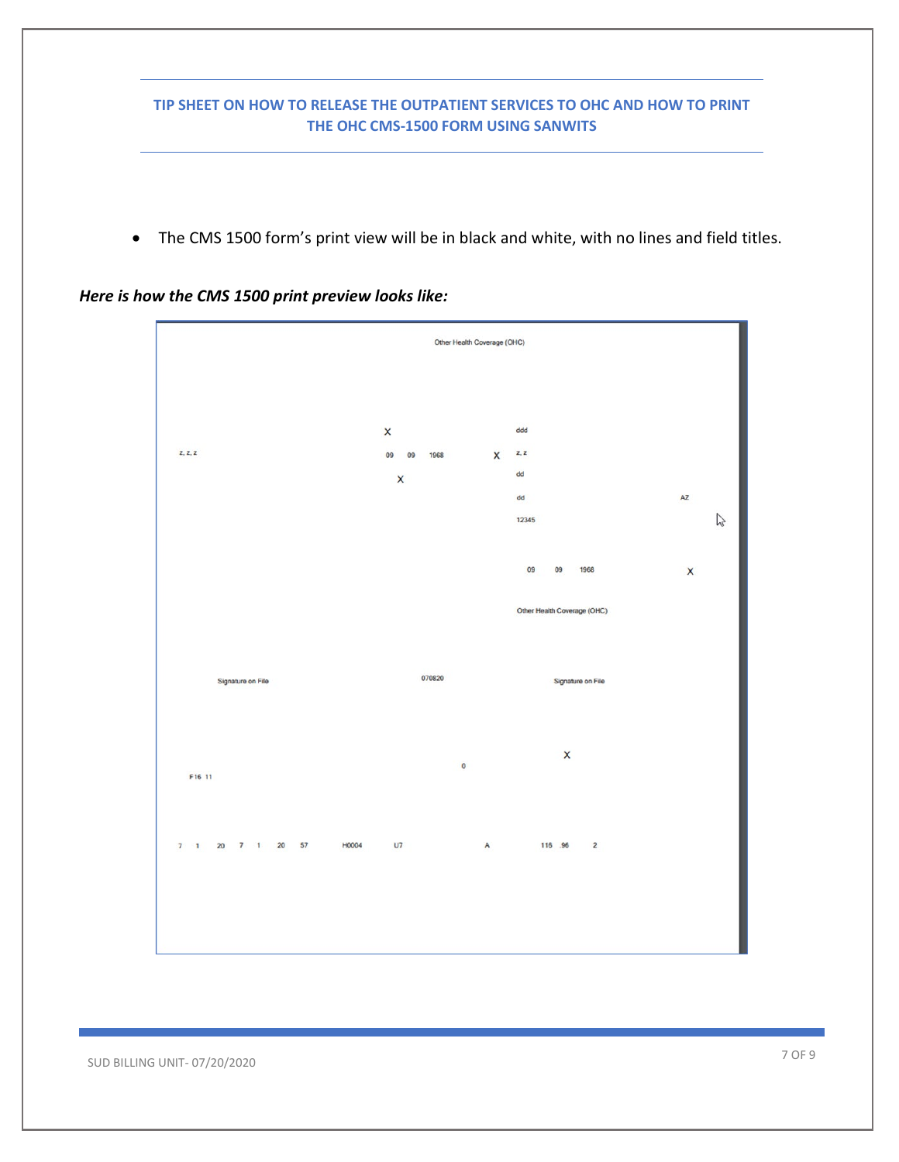• The CMS 1500 form's print view will be in black and white, with no lines and field titles.

*Here is how the CMS 1500 print preview looks like:*



SUD BILLING UNIT-07/20/2020 7 OF 9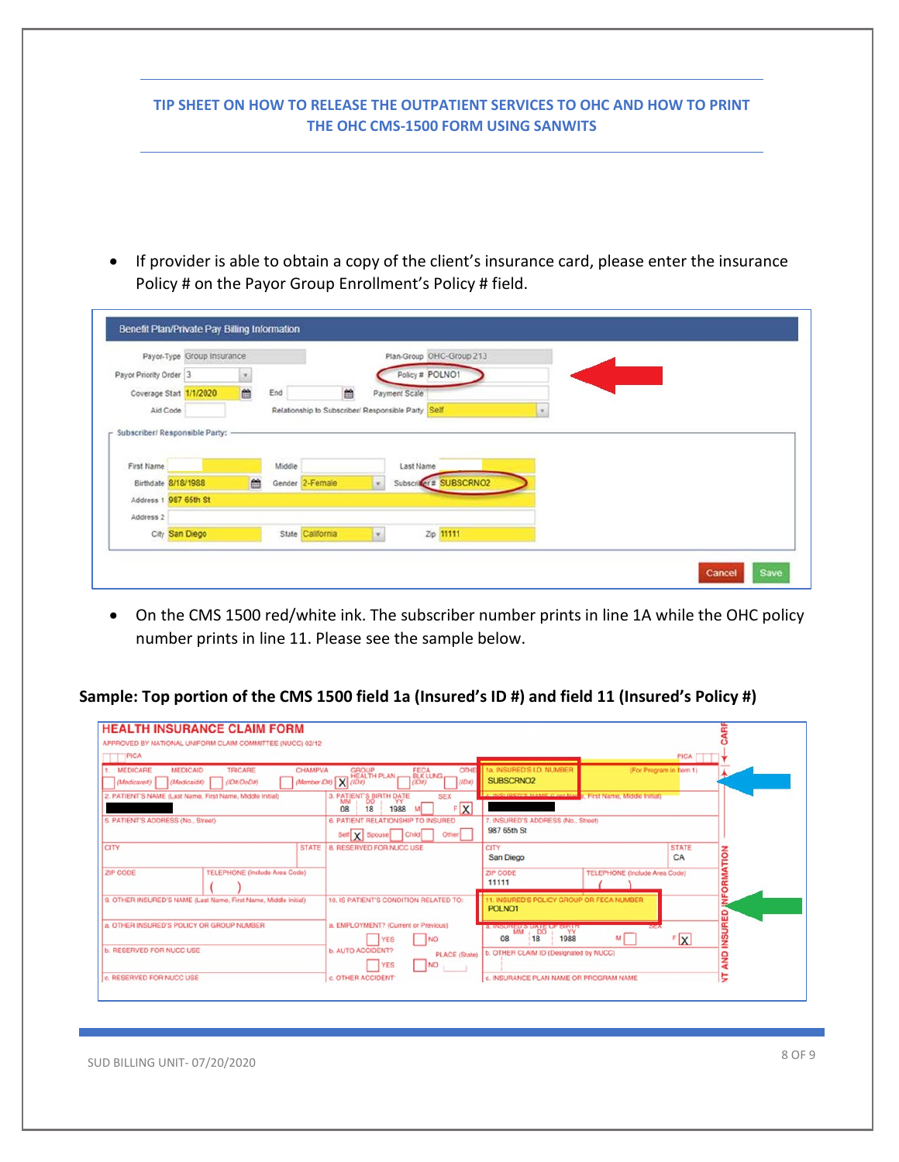| TIP SHEET ON HOW TO RELEASE THE OUTPATIENT SERVICES TO OHC AND HOW TO PRINT<br>THE OHC CMS-1500 FORM USING SANWITS                                          |
|-------------------------------------------------------------------------------------------------------------------------------------------------------------|
|                                                                                                                                                             |
|                                                                                                                                                             |
|                                                                                                                                                             |
|                                                                                                                                                             |
|                                                                                                                                                             |
|                                                                                                                                                             |
| If provider is able to obtain a copy of the client's insurance card, please enter the insurance<br>Policy # on the Payor Group Enrollment's Policy # field. |

- Policy # POLNO1 Payor Priority Order 3  $\mathcal{F}_1$ m End Coverage Start 1/1/2020 曲 Payment Scale Relationship to Subscriber/ Responsible Party Self  $\vert x \vert$ Aid Code Subscriber/ Responsible Party: Middle Last Name First Name Subscriber # SUBSCRNO2 Birthdate 8/18/1988 Gender 2-Female ä  $\mathbf{v}$ Address 1 987 65th St Address 2 City San Diego State California  $\mathbf{E}_\parallel$ Zip 11111 Cancel Save
- On the CMS 1500 red/white ink. The subscriber number prints in line 1A while the OHC policy number prints in line 11. Please see the sample below.

# **Sample: Top portion of the CMS 1500 field 1a (Insured's ID #) and field 11 (Insured's Policy #)**

|                                    | APPROVED BY NATIONAL UNIFORM CLAIM COMMITTEE (NUCC) 02/12       |                                                                            |                                                                                 |                                      |                    |                |
|------------------------------------|-----------------------------------------------------------------|----------------------------------------------------------------------------|---------------------------------------------------------------------------------|--------------------------------------|--------------------|----------------|
| PICA                               |                                                                 |                                                                            |                                                                                 |                                      | <b>PICA</b>        |                |
| <b>MEDICARE</b>                    | <b>MEDICAID</b><br><b>TRICARE</b><br>CHAMPVA                    | <b>OTHE</b><br><b>GROUP</b><br>FECA<br>BLK LUNG<br><b>HEALTH PLAN-</b>     | 1a. INSURED'S I.D. NUMBER                                                       | (For Program in Item 1)              |                    |                |
| (Medicares)                        | (1Da/DoDa)<br>(Medicaide)                                       | (Mornber (Da) X (IDa)<br>(1Dx)<br>(ID#)                                    | SUBSCRNO2                                                                       |                                      |                    |                |
|                                    | 2. PATIENT'S NAME (Last Name, First Name, Middle Initial)       | 3. PATIENT'S BIRTH DATE<br><b>SEX</b><br>F X<br>18<br>1988<br>08           | a INICHIDED'S NAME IT HA MAY 3. First Name, Middle Initial)                     |                                      |                    |                |
| 5. PATIENT'S ADDRESS (No., Street) |                                                                 | <b>6. PATIENT RELATIONSHIP TO INSURED</b>                                  | 7. INSURED'S ADDRESS (No., Street)                                              |                                      |                    |                |
|                                    |                                                                 | Self X Spouse<br>Other<br>Chad                                             | 987 65th St                                                                     |                                      |                    |                |
| CITY                               | <b>STATE</b>                                                    | 8. RESERVED FOR NUCC USE                                                   | CITY<br>San Diego                                                               |                                      | <b>STATE</b><br>CA | TION           |
| <b>ZIP CODE</b>                    | <b>TELEPHONE (Include Area Code)</b>                            |                                                                            | <b>ZIP CODE</b><br>11111                                                        | <b>TELEPHONE (Include Area Code)</b> |                    | <b>NFORMA</b>  |
|                                    | 9. OTHER INSURED'S NAME (Last Name, First Name, Middle Initial) | 10. IS PATIENT'S CONDITION RELATED TO:                                     | 11. INSURED'S POLICY GROUP OR FECA NUMBER<br>POLNO <sub>1</sub>                 |                                      |                    |                |
|                                    | a. OTHER INSURED'S POLICY OR GROUP NUMBER.                      | a. EMPLOYMENT? (Current or Previous)<br><b>NO</b><br>YES                   | <b>a. INSURED S DATE OF BIRTH</b><br>MAG<br><b>DD</b><br>YY<br>1988<br>08<br>18 | M                                    | F[X]               | <b>INSURED</b> |
| <b>b. RESERVED FOR NUCC USE</b>    |                                                                 | <b>b. AUTO ACCIDENT?</b><br><b>PLACE (State)</b><br>NO <sub>1</sub><br>YES | b. OTHER CLAIM ID (Designated by NUCC)                                          |                                      |                    | <b>AND</b>     |
| c. RESERVED FOR NUCC USE           |                                                                 | c. OTHER ACCIDENT                                                          | c. INSURANCE PLAN NAME OR PROGRAM NAME                                          |                                      |                    | έ              |